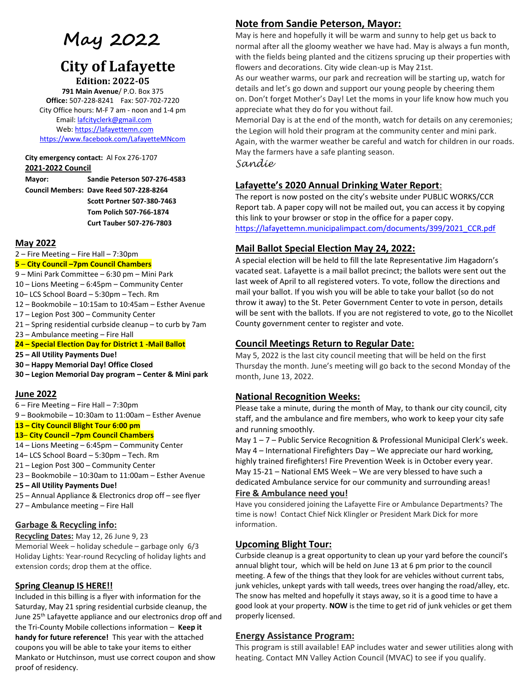# **May 2022**

# **City of Lafayette**

**Edition: 2022-05 791 Main Avenue**/ P.O. Box 375 **Office:** 507-228-8241 Fax: 507-702-7220 City Office hours: M-F 7 am - noon and 1-4 pm Email[: lafcityclerk@gmail.com](mailto:lafcityclerk@gmail.com) Web[: https://lafayettemn.com](https://lafayettemn.com/) <https://www.facebook.com/LafayetteMNcom>

**City emergency contact:** Al Fox 276-1707 **2021-2022 Council**

**Mayor: Sandie Peterson 507-276-4583 Council Members: Dave Reed 507-228-8264 Scott Portner 507-380-7463 Tom Polich 507-766-1874 Curt Tauber 507-276-7803**

#### **May 2022**

2 – Fire Meeting – Fire Hall – 7:30pm

#### **5** – **City Council –7pm Council Chambers**

- 9 Mini Park Committee 6:30 pm Mini Park
- 10 Lions Meeting 6:45pm Community Center
- 10– LCS School Board 5:30pm Tech. Rm
- 12 Bookmobile 10:15am to 10:45am Esther Avenue
- 17 Legion Post 300 Community Center
- 21 Spring residential curbside cleanup to curb by 7am
- 23 Ambulance meeting Fire Hall

#### **24 – Special Election Day for District 1 -Mail Ballot**

- **25 – All Utility Payments Due!**
- **30 – Happy Memorial Day! Office Closed**
- **30 – Legion Memorial Day program – Center & Mini park**

#### **June 2022**

- 6 Fire Meeting Fire Hall 7:30pm
- 9 Bookmobile 10:30am to 11:00am Esther Avenue

#### **13 – City Council Blight Tour 6:00 pm**

- **13 City Council –7pm Council Chambers**
- 14 Lions Meeting 6:45pm Community Center
- 14– LCS School Board 5:30pm Tech. Rm
- 21 Legion Post 300 Community Center
- 23 Bookmobile 10:30am to 11:00am Esther Avenue
- **25 – All Utility Payments Due!**
- 25 Annual Appliance & Electronics drop off see flyer
- 27 Ambulance meeting Fire Hall

#### **Garbage & Recycling info:**

**Recycling Dates:** May 12, 26 June 9, 23 Memorial Week – holiday schedule – garbage only 6/3 Holiday Lights: Year-round Recycling of holiday lights and extension cords; drop them at the office.

#### **Spring Cleanup IS HERE!!**

Included in this billing is a flyer with information for the Saturday, May 21 spring residential curbside cleanup, the June 25<sup>th</sup> Lafayette appliance and our electronics drop off and the Tri-County Mobile collections information – **Keep it handy for future reference!** This year with the attached coupons you will be able to take your items to either Mankato or Hutchinson, must use correct coupon and show proof of residency.

# **Note from Sandie Peterson, Mayor:**

May is here and hopefully it will be warm and sunny to help get us back to normal after all the gloomy weather we have had. May is always a fun month, with the fields being planted and the citizens sprucing up their properties with flowers and decorations. City wide clean-up is May 21st.

As our weather warms, our park and recreation will be starting up, watch for details and let's go down and support our young people by cheering them on. Don't forget Mother's Day! Let the moms in your life know how much you appreciate what they do for you without fail.

Memorial Day is at the end of the month, watch for details on any ceremonies; the Legion will hold their program at the community center and mini park. Again, with the warmer weather be careful and watch for children in our roads. May the farmers have a safe planting season.

*Sandie*

## **Lafayette's 2020 Annual Drinking Water Report**:

The report is now posted on the city's website under PUBLIC WORKS/CCR Report tab. A paper copy will not be mailed out, you can access it by copying this link to your browser or stop in the office for a paper copy. [https://lafayettemn.municipalimpact.com/documents/399/2021\\_CCR.pdf](https://lafayettemn.municipalimpact.com/documents/399/2021_CCR.pdf)

## **Mail Ballot Special Election May 24, 2022:**

A special election will be held to fill the late Representative Jim Hagadorn's vacated seat. Lafayette is a mail ballot precinct; the ballots were sent out the last week of April to all registered voters. To vote, follow the directions and mail your ballot. If you wish you will be able to take your ballot (so do not throw it away) to the St. Peter Government Center to vote in person, details will be sent with the ballots. If you are not registered to vote, go to the Nicollet County government center to register and vote.

### **Council Meetings Return to Regular Date:**

May 5, 2022 is the last city council meeting that will be held on the first Thursday the month. June's meeting will go back to the second Monday of the month, June 13, 2022.

#### **National Recognition Weeks:**

Please take a minute, during the month of May, to thank our city council, city staff, and the ambulance and fire members, who work to keep your city safe and running smoothly.

May 1 – 7 – Public Service Recognition & Professional Municipal Clerk's week. May 4 – International Firefighters Day – We appreciate our hard working, highly trained firefighters! Fire Prevention Week is in October every year. May 15-21 – National EMS Week – We are very blessed to have such a dedicated Ambulance service for our community and surrounding areas!

#### **Fire & Ambulance need you!**

Have you considered joining the Lafayette Fire or Ambulance Departments? The time is now! Contact Chief Nick Klingler or President Mark Dick for more information.

#### **Upcoming Blight Tour:**

Curbside cleanup is a great opportunity to clean up your yard before the council's annual blight tour, which will be held on June 13 at 6 pm prior to the council meeting. A few of the things that they look for are vehicles without current tabs, junk vehicles, unkept yards with tall weeds, trees over hanging the road/alley, etc. The snow has melted and hopefully it stays away, so it is a good time to have a good look at your property. **NOW** is the time to get rid of junk vehicles or get them properly licensed.

#### **Energy Assistance Program:**

This program is still available! EAP includes water and sewer utilities along with heating. Contact MN Valley Action Council (MVAC) to see if you qualify.